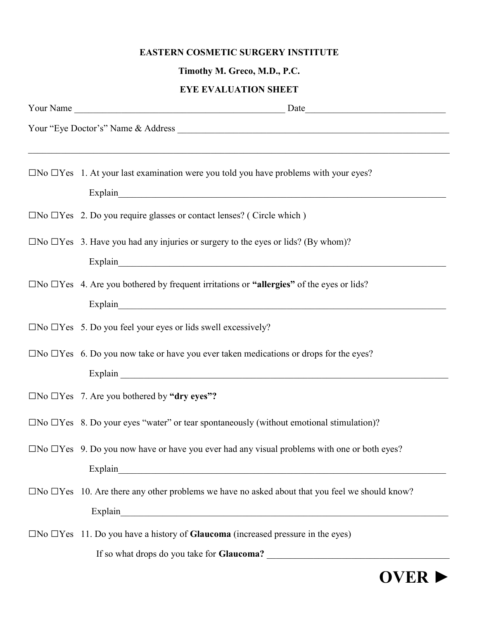## EASTERN COSMETIC SURGERY INSTITUTE

## Timothy M. Greco, M.D., P.C.

## EYE EVALUATION SHEET

|  | $\Box$ No $\Box$ Yes 1. At your last examination were you told you have problems with your eyes?           |
|--|------------------------------------------------------------------------------------------------------------|
|  | Explain explain                                                                                            |
|  | $\Box$ No $\Box$ Yes 2. Do you require glasses or contact lenses? (Circle which)                           |
|  | $\Box$ No $\Box$ Yes 3. Have you had any injuries or surgery to the eyes or lids? (By whom)?               |
|  |                                                                                                            |
|  | $\Box$ No $\Box$ Yes 4. Are you bothered by frequent irritations or "allergies" of the eyes or lids?       |
|  |                                                                                                            |
|  | $\Box$ No $\Box$ Yes 5. Do you feel your eyes or lids swell excessively?                                   |
|  | $\Box$ No $\Box$ Yes 6. Do you now take or have you ever taken medications or drops for the eyes?          |
|  |                                                                                                            |
|  | $\Box$ No $\Box$ Yes 7. Are you bothered by "dry eyes"?                                                    |
|  | $\Box$ No $\Box$ Yes 8. Do your eyes "water" or tear spontaneously (without emotional stimulation)?        |
|  | $\Box$ No $\Box$ Yes 9. Do you now have or have you ever had any visual problems with one or both eyes?    |
|  |                                                                                                            |
|  | $\Box$ No $\Box$ Yes 10. Are there any other problems we have no asked about that you feel we should know? |
|  |                                                                                                            |
|  | $\Box$ No $\Box$ Yes 11. Do you have a history of <b>Glaucoma</b> (increased pressure in the eyes)         |
|  | If so what drops do you take for Glaucoma?                                                                 |